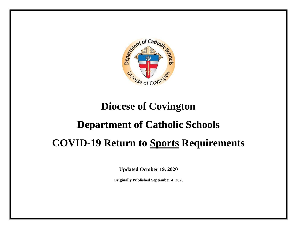

## **Diocese of Covington**

## **Department of Catholic Schools**

# **COVID-19 Return to Sports Requirements**

**Updated October 19, 2020**

**Originally Published September 4, 2020**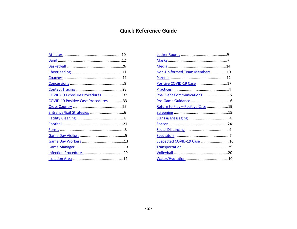### **Quick Reference Guide**

|                                      | Non-Uniformed Team Members 10     |  |
|--------------------------------------|-----------------------------------|--|
|                                      |                                   |  |
|                                      | Positive COVID-19 Case 17         |  |
|                                      |                                   |  |
| COVID-19 Exposure Procedures 32      | Pre-Event Communications 5        |  |
| COVID-19 Positive Case Procedures 33 |                                   |  |
|                                      | Return to Play - Positive Case 19 |  |
|                                      |                                   |  |
|                                      |                                   |  |
|                                      |                                   |  |
|                                      |                                   |  |
|                                      |                                   |  |
|                                      | Suspected COVID-19 Case 16        |  |
|                                      |                                   |  |
|                                      |                                   |  |
|                                      |                                   |  |
|                                      |                                   |  |

|                                      | Non-Uniformed Team Members 10     |  |
|--------------------------------------|-----------------------------------|--|
|                                      |                                   |  |
|                                      | Positive COVID-19 Case 17         |  |
|                                      |                                   |  |
| COVID-19 Exposure Procedures 32      | Pre-Event Communications 5        |  |
| COVID-19 Positive Case Procedures 33 |                                   |  |
|                                      | Return to Play - Positive Case 19 |  |
|                                      |                                   |  |
|                                      |                                   |  |
|                                      |                                   |  |
|                                      |                                   |  |
|                                      |                                   |  |
|                                      | Suspected COVID-19 Case 1         |  |
|                                      |                                   |  |
|                                      |                                   |  |
|                                      |                                   |  |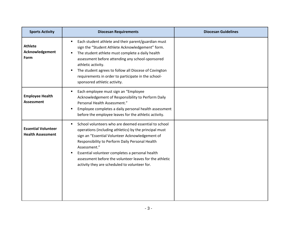<span id="page-2-0"></span>

| <b>Sports Activity</b>                                 | <b>Diocesan Requirements</b>                                                                                                                                                                                                                                                                                                                                                                             | <b>Diocesan Guidelines</b> |
|--------------------------------------------------------|----------------------------------------------------------------------------------------------------------------------------------------------------------------------------------------------------------------------------------------------------------------------------------------------------------------------------------------------------------------------------------------------------------|----------------------------|
| <b>Athlete</b><br>Acknowledgement<br>Form              | Each student athlete and their parent/guardian must<br>sign the "Student Athlete Acknowledgement" form.<br>The student athlete must complete a daily health<br>assessment before attending any school-sponsored<br>athletic activity.<br>The student agrees to follow all Diocese of Covington<br>requirements in order to participate in the school-<br>sponsored athletic activity.                    |                            |
| <b>Employee Health</b><br><b>Assessment</b>            | Each employee must sign an "Employee<br>Acknowledgement of Responsibility to Perform Daily<br>Personal Health Assessment."<br>Employee completes a daily personal health assessment<br>$\blacksquare$<br>before the employee leaves for the athletic activity.                                                                                                                                           |                            |
| <b>Essential Volunteer</b><br><b>Health Assessment</b> | School volunteers who are deemed essential to school<br>operations (including athletics) by the principal must<br>sign an "Essential Volunteer Acknowledgement of<br>Responsibility to Perform Daily Personal Health<br>Assessment."<br>Essential volunteer completes a personal health<br>٠<br>assessment before the volunteer leaves for the athletic<br>activity they are scheduled to volunteer for. |                            |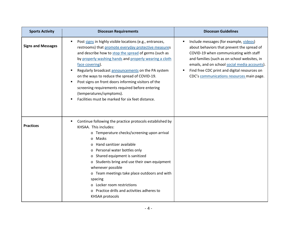<span id="page-3-1"></span><span id="page-3-0"></span>

| <b>Sports Activity</b>    | <b>Diocesan Requirements</b>                                                                                                                                                                                                                                                                                                                                                                                                                                                                                                                            | <b>Diocesan Guidelines</b>                                                                                                                                                                                                                                                                                                   |
|---------------------------|---------------------------------------------------------------------------------------------------------------------------------------------------------------------------------------------------------------------------------------------------------------------------------------------------------------------------------------------------------------------------------------------------------------------------------------------------------------------------------------------------------------------------------------------------------|------------------------------------------------------------------------------------------------------------------------------------------------------------------------------------------------------------------------------------------------------------------------------------------------------------------------------|
| <b>Signs and Messages</b> | Post signs in highly visible locations (e.g., entrances,<br>restrooms) that promote everyday protective measures<br>and describe how to stop the spread of germs (such as<br>by properly washing hands and properly wearing a cloth<br>face covering).<br>Regularly broadcast announcements on the PA system<br>on the ways to reduce the spread of COVID-19.<br>Post signs on front doors informing visitors of the<br>screening requirements required before entering<br>(temperatures/symptoms).<br>Facilities must be marked for six feet distance. | Include messages (for example, videos)<br>about behaviors that prevent the spread of<br>COVID-19 when communicating with staff<br>and families (such as on school websites, in<br>emails, and on school social media accounts).<br>Find free CDC print and digital resources on<br>CDC's communications resources main page. |
| <b>Practices</b>          | Continue following the practice protocols established by<br>KHSAA. This includes:<br>o Temperature checks/screening upon arrival<br>Masks<br>$\Omega$<br>Hand sanitizer available<br><sup>o</sup><br>o Personal water bottles only<br>o Shared equipment is sanitized<br>o Students bring and use their own equipment<br>whenever possible<br>o Team meetings take place outdoors and with<br>spacing<br>o Locker room restrictions<br>o Practice drills and activities adheres to<br>KHSAA protocols                                                   |                                                                                                                                                                                                                                                                                                                              |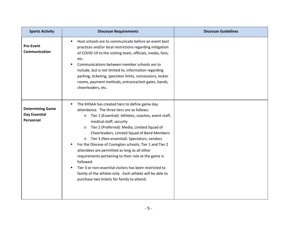<span id="page-4-1"></span><span id="page-4-0"></span>

| <b>Sports Activity</b>                                | <b>Diocesan Requirements</b>                                                                                                                                                                                                                                                                                                                                                                                                                                                                                                                                                                                                                                                                                       | <b>Diocesan Guidelines</b> |
|-------------------------------------------------------|--------------------------------------------------------------------------------------------------------------------------------------------------------------------------------------------------------------------------------------------------------------------------------------------------------------------------------------------------------------------------------------------------------------------------------------------------------------------------------------------------------------------------------------------------------------------------------------------------------------------------------------------------------------------------------------------------------------------|----------------------------|
| <b>Pre-Event</b><br>Communication                     | Host schools are to communicate before an event best<br>practices and/or local restrictions regarding mitigation<br>of COVID-19 to the visiting team, officials, media, fans,<br>etc.<br>Communications between member schools are to<br>include, but is not limited to, information regarding<br>parking, ticketing, spectator limits, concessions, locker<br>rooms, payment methods, entrance/exit gates, bands,<br>cheerleaders, etc.                                                                                                                                                                                                                                                                           |                            |
| <b>Determining Game</b><br>Day Essential<br>Personnel | The KHSAA has created tiers to define game day<br>attendance. The three tiers are as follows:<br>Tier 1 (Essential): Athletes, coaches, event staff,<br>$\circ$<br>medical staff, security<br>Tier 2 (Preferred): Media, Limited Squad of<br>$\circ$<br>Cheerleaders, Limited Squad of Band Members<br>Tier 3 (Non-essential): Spectators, vendors<br>$\circ$<br>For the Diocese of Covington schools, Tier 1 and Tier 2<br>attendees are permitted as long as all other<br>requirements pertaining to their role at the game is<br>followed.<br>Tier 3 or non-essential visitors has been restricted to<br>family of the athlete only. Each athlete will be able to<br>purchase two tickets for family to attend. |                            |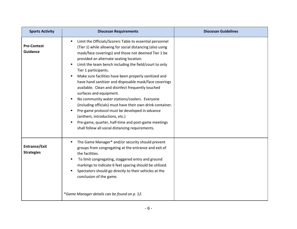<span id="page-5-1"></span><span id="page-5-0"></span>

| <b>Sports Activity</b>                    | <b>Diocesan Requirements</b>                                                                                                                                                                                                                                                                                                                                                                                                                                                                                                                                                                                                                                                                                                                                                                                              | <b>Diocesan Guidelines</b> |
|-------------------------------------------|---------------------------------------------------------------------------------------------------------------------------------------------------------------------------------------------------------------------------------------------------------------------------------------------------------------------------------------------------------------------------------------------------------------------------------------------------------------------------------------------------------------------------------------------------------------------------------------------------------------------------------------------------------------------------------------------------------------------------------------------------------------------------------------------------------------------------|----------------------------|
| <b>Pre-Contest</b><br>Guidance            | Limit the Officials/Scorers Table to essential personnel<br>(Tier 1) while allowing for social distancing (also using<br>mask/face coverings) and those not deemed Tier 1 be<br>provided an alternate seating location.<br>Limit the team bench including the field/court to only<br>Tier 1 participants.<br>Make sure facilities have been properly sanitized and<br>have hand sanitizer and disposable mask/face coverings<br>available. Clean and disinfect frequently touched<br>surfaces and equipment.<br>No community water stations/coolers. Everyone<br>(including officials) must have their own drink container.<br>Pre-game protocol must be developed in advance<br>(anthem, introductions, etc.)<br>Pre-game, quarter, half-time and post-game meetings<br>shall follow all social distancing requirements. |                            |
| <b>Entrance/Exit</b><br><b>Strategies</b> | The Game Manager* and/or security should prevent<br>٠<br>groups from congregating at the entrance and exit of<br>the facilities.<br>To limit congregating, staggered entry and ground<br>٠<br>markings to indicate 6 feet spacing should be utilized.<br>Spectators should go directly to their vehicles at the<br>conclusion of the game.<br>*Game Manager details can be found on p. 12.                                                                                                                                                                                                                                                                                                                                                                                                                                |                            |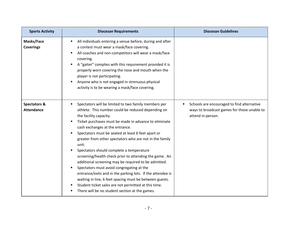<span id="page-6-1"></span><span id="page-6-0"></span>

| <b>Sports Activity</b>                       | <b>Diocesan Requirements</b>                                                                                                                                                                                                                                                                                                                                                                                                                                                                                                                                                                                                                                                                                                                                                                             | <b>Diocesan Guidelines</b>                                                                                     |
|----------------------------------------------|----------------------------------------------------------------------------------------------------------------------------------------------------------------------------------------------------------------------------------------------------------------------------------------------------------------------------------------------------------------------------------------------------------------------------------------------------------------------------------------------------------------------------------------------------------------------------------------------------------------------------------------------------------------------------------------------------------------------------------------------------------------------------------------------------------|----------------------------------------------------------------------------------------------------------------|
| Masks/Face<br><b>Coverings</b>               | All individuals entering a venue before, during and after<br>a contest must wear a mask/face covering.<br>All coaches and non-competitors will wear a mask/face<br>covering.<br>A "gaiter" complies with this requirement provided it is<br>properly worn covering the nose and mouth when the<br>player is not participating.<br>Anyone who is not engaged in strenuous physical<br>activity is to be wearing a mask/face covering.                                                                                                                                                                                                                                                                                                                                                                     |                                                                                                                |
| <b>Spectators &amp;</b><br><b>Attendance</b> | Spectators will be limited to two family members per<br>athlete. This number could be reduced depending on<br>the facility capacity.<br>Ticket purchases must be made in advance to eliminate<br>cash exchanges at the entrance.<br>Spectators must be seated at least 6 feet apart or<br>greater from other spectators who are not in the family<br>unit.<br>Spectators should complete a temperature<br>screening/health check prior to attending the game. An<br>additional screening may be required to be admitted.<br>Spectators must avoid congregating at the<br>entrance/exits and in the parking lots. If the attendee is<br>waiting in line, 6 feet spacing must be between guests.<br>Student ticket sales are not permitted at this time.<br>There will be no student section at the games. | Schools are encouraged to find alternative<br>ways to broadcast games for those unable to<br>attend in-person. |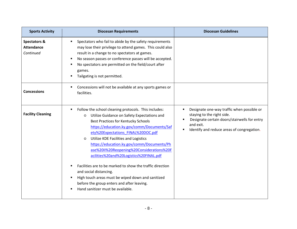<span id="page-7-1"></span><span id="page-7-0"></span>

| <b>Sports Activity</b>                         | <b>Diocesan Requirements</b>                                                                                                                                                                                                                                                                                                                                                                                                                                                                                                                                                                                                                                       | <b>Diocesan Guidelines</b>                                                                                                                                                               |
|------------------------------------------------|--------------------------------------------------------------------------------------------------------------------------------------------------------------------------------------------------------------------------------------------------------------------------------------------------------------------------------------------------------------------------------------------------------------------------------------------------------------------------------------------------------------------------------------------------------------------------------------------------------------------------------------------------------------------|------------------------------------------------------------------------------------------------------------------------------------------------------------------------------------------|
| Spectators &<br><b>Attendance</b><br>Continued | Spectators who fail to abide by the safety requirements<br>may lose their privilege to attend games. This could also<br>result in a change to no spectators at games.<br>No season passes or conference passes will be accepted.<br>No spectators are permitted on the field/court after<br>games.<br>Tailgating is not permitted.                                                                                                                                                                                                                                                                                                                                 |                                                                                                                                                                                          |
| <b>Concessions</b>                             | Concessions will not be available at any sports games or<br>facilities.                                                                                                                                                                                                                                                                                                                                                                                                                                                                                                                                                                                            |                                                                                                                                                                                          |
| <b>Facility Cleaning</b>                       | Follow the school cleaning protocols. This includes:<br>٠<br>Utilize Guidance on Safety Expectations and<br>O<br><b>Best Practices for Kentucky Schools</b><br>https://education.ky.gov/comm/Documents/Saf<br>ety%20Expectations FINAL%20DOC.pdf<br>Utilize KDE Facilities and Logistics<br>O<br>https://education.ky.gov/comm/Documents/Ph<br>ase%20II%20Reopening%20Considerations%20F<br>acilities%20and%20Logistics%20FINAL.pdf<br>Facilities are to be marked to show the traffic direction<br>and social distancing.<br>High touch areas must be wiped down and sanitized<br>before the group enters and after leaving.<br>Hand sanitizer must be available. | Designate one-way traffic when possible or<br>٠<br>staying to the right side.<br>Designate certain doors/stairwells for entry<br>and exit.<br>Identify and reduce areas of congregation. |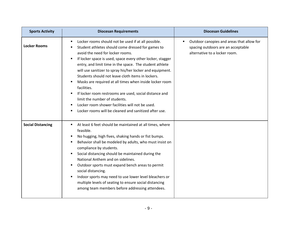<span id="page-8-1"></span><span id="page-8-0"></span>

| <b>Sports Activity</b>   | <b>Diocesan Requirements</b>                                                                                                                                                                                                                                                                                                                                                                                                                                                                                                                                                                                                                                                  | <b>Diocesan Guidelines</b>                                                                                       |
|--------------------------|-------------------------------------------------------------------------------------------------------------------------------------------------------------------------------------------------------------------------------------------------------------------------------------------------------------------------------------------------------------------------------------------------------------------------------------------------------------------------------------------------------------------------------------------------------------------------------------------------------------------------------------------------------------------------------|------------------------------------------------------------------------------------------------------------------|
| <b>Locker Rooms</b>      | Locker rooms should not be used if at all possible.<br>Student athletes should come dressed for games to<br>avoid the need for locker rooms.<br>If locker space is used, space every other locker, stagger<br>entry, and limit time in the space. The student athlete<br>will use sanitizer to spray his/her locker and equipment.<br>Students should not leave cloth items in lockers.<br>Masks are required at all times when inside locker room<br>facilities.<br>If locker room restrooms are used, social distance and<br>limit the number of students.<br>Locker room shower facilities will not be used.<br>Locker rooms will be cleaned and sanitized after use.<br>٠ | Outdoor canopies and areas that allow for<br>spacing outdoors are an acceptable<br>alternative to a locker room. |
| <b>Social Distancing</b> | At least 6 feet should be maintained at all times, where<br>٠<br>feasible.<br>No hugging, high fives, shaking hands or fist bumps.<br>п<br>Behavior shall be modeled by adults, who must insist on<br>п<br>compliance by students.<br>Social distancing should be maintained during the<br>п<br>National Anthem and on sidelines.<br>Outdoor sports must expand bench areas to permit<br>social distancing.<br>Indoor sports may need to use lower level bleachers or<br>multiple levels of seating to ensure social distancing<br>among team members before addressing attendees.                                                                                            |                                                                                                                  |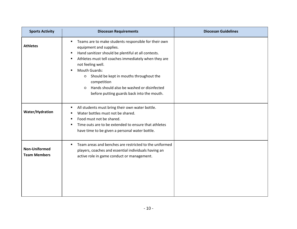<span id="page-9-2"></span><span id="page-9-1"></span><span id="page-9-0"></span>

| <b>Sports Activity</b>                      | <b>Diocesan Requirements</b>                                                                                                                                                                                                                                                                                                                                                                                                                 | <b>Diocesan Guidelines</b> |
|---------------------------------------------|----------------------------------------------------------------------------------------------------------------------------------------------------------------------------------------------------------------------------------------------------------------------------------------------------------------------------------------------------------------------------------------------------------------------------------------------|----------------------------|
| <b>Athletes</b>                             | Teams are to make students responsible for their own<br>٠<br>equipment and supplies.<br>Hand sanitizer should be plentiful at all contests.<br>Athletes must tell coaches immediately when they are<br>٠<br>not feeling well.<br>Mouth Guards:<br>$\blacksquare$<br>Should be kept in mouths throughout the<br>$\circ$<br>competition<br>Hands should also be washed or disinfected<br>$\circ$<br>before putting guards back into the mouth. |                            |
| Water/Hydration                             | All students must bring their own water bottle.<br>٠<br>Water bottles must not be shared.<br>Food must not be shared.<br>٠<br>Time outs are to be extended to ensure that athletes<br>٠<br>have time to be given a personal water bottle.                                                                                                                                                                                                    |                            |
| <b>Non-Uniformed</b><br><b>Team Members</b> | Team areas and benches are restricted to the uniformed<br>٠<br>players, coaches and essential individuals having an<br>active role in game conduct or management.                                                                                                                                                                                                                                                                            |                            |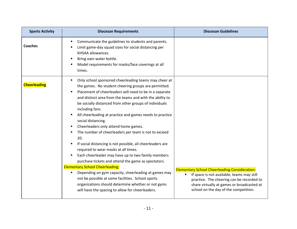<span id="page-10-1"></span><span id="page-10-0"></span>

| <b>Sports Activity</b> | <b>Diocesan Requirements</b>                                                                                                                                                                                                                                                                                                                                                                                                                                                                                                                                                                                                                                                                                                                                                                                                                                                                                                                                                                                          | <b>Diocesan Guidelines</b>                                                                                                                                                                                                             |
|------------------------|-----------------------------------------------------------------------------------------------------------------------------------------------------------------------------------------------------------------------------------------------------------------------------------------------------------------------------------------------------------------------------------------------------------------------------------------------------------------------------------------------------------------------------------------------------------------------------------------------------------------------------------------------------------------------------------------------------------------------------------------------------------------------------------------------------------------------------------------------------------------------------------------------------------------------------------------------------------------------------------------------------------------------|----------------------------------------------------------------------------------------------------------------------------------------------------------------------------------------------------------------------------------------|
| <b>Coaches</b>         | Communicate the guidelines to students and parents.<br>Limit game-day squad sizes for social distancing per<br>KHSAA allowances.<br>Bring own water bottle.<br>Model requirements for masks/face coverings at all<br>times.                                                                                                                                                                                                                                                                                                                                                                                                                                                                                                                                                                                                                                                                                                                                                                                           |                                                                                                                                                                                                                                        |
| <b>Cheerleading</b>    | Only school sponsored cheerleading teams may cheer at<br>$\blacksquare$<br>the games. No student cheering groups are permitted.<br>Placement of cheerleaders will need to be in a separate<br>and distinct area from the teams and with the ability to<br>be socially distanced from other groups of individuals<br>including fans.<br>All cheerleading at practice and games needs to practice<br>social distancing.<br>Cheerleaders only attend home games.<br>The number of cheerleaders per team is not to exceed<br>20.<br>If social distancing is not possible, all cheerleaders are<br>required to wear masks at all times.<br>Each cheerleader may have up to two family members<br>purchase tickets and attend the game as spectators.<br><b>Elementary School Cheerleading:</b><br>Depending on gym capacity, cheerleading at games may<br>٠<br>not be possible at some facilities. School sports<br>organizations should determine whether or not gyms<br>will have the spacing to allow for cheerleaders. | <b>Elementary School Cheerleading Consideration:</b><br>If space is not available, teams may still<br>practice. The cheering can be recorded to<br>share virtually at games or broadcasted at<br>school on the day of the competition. |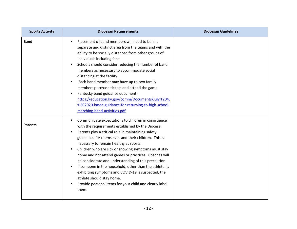<span id="page-11-1"></span><span id="page-11-0"></span>

| <b>Sports Activity</b> | <b>Diocesan Requirements</b>                                                                                                                                                                                                                                                                                                                                                                                                                                                                                                                                                                                                                                   | <b>Diocesan Guidelines</b> |
|------------------------|----------------------------------------------------------------------------------------------------------------------------------------------------------------------------------------------------------------------------------------------------------------------------------------------------------------------------------------------------------------------------------------------------------------------------------------------------------------------------------------------------------------------------------------------------------------------------------------------------------------------------------------------------------------|----------------------------|
| <b>Band</b>            | Placement of band members will need to be in a<br>separate and distinct area from the teams and with the<br>ability to be socially distanced from other groups of<br>individuals including fans.<br>Schools should consider reducing the number of band<br>members as necessary to accommodate social<br>distancing at the facility.<br>Each band member may have up to two family<br>٠<br>members purchase tickets and attend the game.<br>Kentucky band guidance document:<br>٠<br>https://education.ky.gov/comm/Documents/July%204,<br>%202020-kmea-guidance-for-returning-to-high-school-<br>marching-band-activities.pdf                                  |                            |
| <b>Parents</b>         | Communicate expectations to children in congruence<br>with the requirements established by the Diocese.<br>Parents play a critical role in maintaining safety<br>guidelines for themselves and their children. This is<br>necessary to remain healthy at sports.<br>Children who are sick or showing symptoms must stay<br>٠<br>home and not attend games or practices. Coaches will<br>be considerate and understanding of this precaution.<br>If someone in the household, other than the athlete, is<br>exhibiting symptoms and COVID-19 is suspected, the<br>athlete should stay home.<br>Provide personal items for your child and clearly label<br>them. |                            |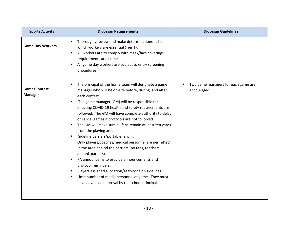<span id="page-12-1"></span><span id="page-12-0"></span>

| <b>Sports Activity</b>         | <b>Diocesan Requirements</b>                                                                                                                                                                                                                                                                                                                                                                                                                                                                                                                                                                                                                                                                                                                                                                                                                                     | <b>Diocesan Guidelines</b>                         |
|--------------------------------|------------------------------------------------------------------------------------------------------------------------------------------------------------------------------------------------------------------------------------------------------------------------------------------------------------------------------------------------------------------------------------------------------------------------------------------------------------------------------------------------------------------------------------------------------------------------------------------------------------------------------------------------------------------------------------------------------------------------------------------------------------------------------------------------------------------------------------------------------------------|----------------------------------------------------|
| <b>Game Day Workers</b>        | Thoroughly review and make determinations as to<br>which workers are essential (Tier 1).<br>All workers are to comply with mask/face coverings<br>٠<br>requirements at all times.<br>All game day workers are subject to entry screening<br>procedures.                                                                                                                                                                                                                                                                                                                                                                                                                                                                                                                                                                                                          |                                                    |
| Game/Contest<br><b>Manager</b> | The principal of the home team will designate a game<br>٠<br>manager who will be on-site before, during, and after<br>each contest.<br>The game manager (GM) will be responsible for<br>ensuring COVID-19 health and safety requirements are<br>followed. The GM will have complete authority to delay<br>or cancel games if protocols are not followed.<br>The GM will make sure all fans remain at least ten yards<br>from the playing area.<br>Sideline barriers/portable fencing:<br>Only players/coaches/medical personnel are permitted<br>in the area behind the barriers (no fans, teachers,<br>alumni, parents).<br>PA announcer is to provide announcements and<br>protocol reminders.<br>Players assigned a location/seat/cone on sidelines.<br>Limit number of media personnel at game. They must<br>have advanced approval by the school principal. | Two game managers for each game are<br>encouraged. |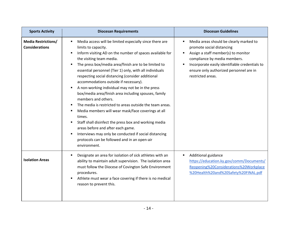<span id="page-13-1"></span><span id="page-13-0"></span>

| <b>Sports Activity</b>                              | <b>Diocesan Requirements</b>                                                                                                                                                                                                                                                                                                                                                                                                                                                                                                                                                                                                                                                                                                                                                                                                                                                                              | <b>Diocesan Guidelines</b>                                                                                                                                                                                                                                    |
|-----------------------------------------------------|-----------------------------------------------------------------------------------------------------------------------------------------------------------------------------------------------------------------------------------------------------------------------------------------------------------------------------------------------------------------------------------------------------------------------------------------------------------------------------------------------------------------------------------------------------------------------------------------------------------------------------------------------------------------------------------------------------------------------------------------------------------------------------------------------------------------------------------------------------------------------------------------------------------|---------------------------------------------------------------------------------------------------------------------------------------------------------------------------------------------------------------------------------------------------------------|
| <b>Media Restrictions/</b><br><b>Considerations</b> | Media access will be limited especially since there are<br>٠<br>limits to capacity.<br>Inform visiting AD on the number of spaces available for<br>the visiting team media.<br>The press box/media area/finish are to be limited to<br>essential personnel (Tier 1) only, with all individuals<br>respecting social distancing (consider additional<br>accommodations outside if necessary).<br>A non-working individual may not be in the press<br>box/media area/finish area including spouses, family<br>members and others.<br>The media is restricted to areas outside the team areas.<br>Media members will wear mask/face coverings at all<br>times.<br>Staff shall disinfect the press box and working media<br>٠<br>areas before and after each game.<br>Interviews may only be conducted if social distancing<br>$\blacksquare$<br>protocols can be followed and in an open-air<br>environment. | Media areas should be clearly marked to<br>promote social distancing<br>Assign a staff member(s) to monitor<br>compliance by media members.<br>Incorporate easily identifiable credentials to<br>ensure only authorized personnel are in<br>restricted areas. |
| <b>Isolation Areas</b>                              | Designate an area for isolation of sick athletes with an<br>٠<br>ability to maintain adult supervision. The isolation area<br>must follow the Diocese of Covington Safe Environment<br>procedures.<br>Athlete must wear a face covering if there is no medical<br>$\blacksquare$<br>reason to prevent this.                                                                                                                                                                                                                                                                                                                                                                                                                                                                                                                                                                                               | Additional guidance<br>$\blacksquare$<br>https://education.ky.gov/comm/Documents/<br>Reopening%20Considerations%20Workplace<br>%20Health%20and%20Safety%20FINAL.pdf                                                                                           |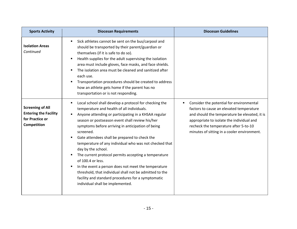<span id="page-14-0"></span>

| <b>Sports Activity</b>                                                                    | <b>Diocesan Requirements</b>                                                                                                                                                                                                                                                                                                                                                                                                                                                                                                                                                                                                                                                                                     | <b>Diocesan Guidelines</b>                                                                                                                                                                                                                                                      |
|-------------------------------------------------------------------------------------------|------------------------------------------------------------------------------------------------------------------------------------------------------------------------------------------------------------------------------------------------------------------------------------------------------------------------------------------------------------------------------------------------------------------------------------------------------------------------------------------------------------------------------------------------------------------------------------------------------------------------------------------------------------------------------------------------------------------|---------------------------------------------------------------------------------------------------------------------------------------------------------------------------------------------------------------------------------------------------------------------------------|
| <b>Isolation Areas</b><br>Continued                                                       | Sick athletes cannot be sent on the bus/carpool and<br>٠<br>should be transported by their parent/guardian or<br>themselves (if it is safe to do so).<br>Health supplies for the adult supervising the isolation<br>area must include gloves, face masks, and face shields.<br>The isolation area must be cleaned and sanitized after<br>each use.<br>Transportation procedures should be created to address<br>how an athlete gets home if the parent has no<br>transportation or is not responding.                                                                                                                                                                                                            |                                                                                                                                                                                                                                                                                 |
| <b>Screening of All</b><br><b>Entering the Facility</b><br>for Practice or<br>Competition | Local school shall develop a protocol for checking the<br>٠<br>temperature and health of all individuals.<br>Anyone attending or participating in a KHSAA regular<br>season or postseason event shall review his/her<br>symptoms before arriving in anticipation of being<br>screened.<br>Gate attendees shall be prepared to check the<br>temperature of any individual who was not checked that<br>day by the school.<br>The current protocol permits accepting a temperature<br>of 100.4 or less.<br>In the event a person does not meet the temperature<br>threshold, that individual shall not be admitted to the<br>facility and standard procedures for a symptomatic<br>individual shall be implemented. | Consider the potential for environmental<br>٠<br>factors to cause an elevated temperature<br>and should the temperature be elevated, it is<br>appropriate to isolate the individual and<br>recheck the temperature after 5-to-10<br>minutes of sitting in a cooler environment. |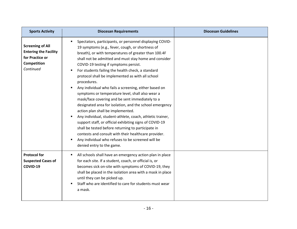<span id="page-15-0"></span>

| <b>Sports Activity</b>                                                                                 | <b>Diocesan Requirements</b>                                                                                                                                                                                                                                                                                                                                                                                                                                                                                                                                                                                                                                                                                                                                                                                                                                                                                                                                                           | <b>Diocesan Guidelines</b> |
|--------------------------------------------------------------------------------------------------------|----------------------------------------------------------------------------------------------------------------------------------------------------------------------------------------------------------------------------------------------------------------------------------------------------------------------------------------------------------------------------------------------------------------------------------------------------------------------------------------------------------------------------------------------------------------------------------------------------------------------------------------------------------------------------------------------------------------------------------------------------------------------------------------------------------------------------------------------------------------------------------------------------------------------------------------------------------------------------------------|----------------------------|
| <b>Screening of All</b><br><b>Entering the Facility</b><br>for Practice or<br>Competition<br>Continued | Spectators, participants, or personnel displaying COVID-<br>19 symptoms (e.g., fever, cough, or shortness of<br>breath), or with temperatures of greater than 100.4F<br>shall not be admitted and must stay home and consider<br>COVID-19 testing if symptoms persist.<br>For students failing the health check, a standard<br>protocol shall be implemented as with all school<br>procedures.<br>Any individual who fails a screening, either based on<br>symptoms or temperature level, shall also wear a<br>mask/face covering and be sent immediately to a<br>designated area for isolation, and the school emergency<br>action plan shall be implemented.<br>Any individual, student-athlete, coach, athletic trainer,<br>support staff, or official exhibiting signs of COVID-19<br>shall be tested before returning to participate in<br>contests and consult with their healthcare provider.<br>Any individual who refuses to be screened will be<br>denied entry to the game. |                            |
| <b>Protocol for</b><br><b>Suspected Cases of</b><br>COVID-19                                           | All schools shall have an emergency action plan in place<br>for each site. If a student, coach, or official is, or<br>becomes sick on-site with symptoms of COVID-19, they<br>shall be placed in the isolation area with a mask in place<br>until they can be picked up.<br>Staff who are identified to care for students must wear<br>a mask.                                                                                                                                                                                                                                                                                                                                                                                                                                                                                                                                                                                                                                         |                            |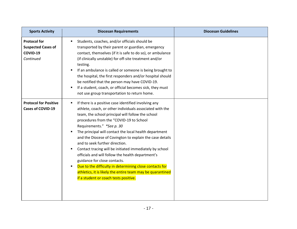<span id="page-16-0"></span>

| <b>Sports Activity</b>                                                    | <b>Diocesan Requirements</b>                                                                                                                                                                                                                                                                                                                                                                                                                                                                                                                                                                                                                                                                                                      | <b>Diocesan Guidelines</b> |
|---------------------------------------------------------------------------|-----------------------------------------------------------------------------------------------------------------------------------------------------------------------------------------------------------------------------------------------------------------------------------------------------------------------------------------------------------------------------------------------------------------------------------------------------------------------------------------------------------------------------------------------------------------------------------------------------------------------------------------------------------------------------------------------------------------------------------|----------------------------|
| <b>Protocol for</b><br><b>Suspected Cases of</b><br>COVID-19<br>Continued | Students, coaches, and/or officials should be<br>transported by their parent or guardian, emergency<br>contact, themselves (if it is safe to do so), or ambulance<br>(if clinically unstable) for off-site treatment and/or<br>testing.<br>If an ambulance is called or someone is being brought to<br>the hospital, the first responders and/or hospital should<br>be notified that the person may have COVID-19.<br>If a student, coach, or official becomes sick, they must<br>not use group transportation to return home.                                                                                                                                                                                                    |                            |
| <b>Protocol for Positive</b><br><b>Cases of COVID-19</b>                  | If there is a positive case identified involving any<br>٠<br>athlete, coach, or other individuals associated with the<br>team, the school principal will follow the school<br>procedures from the "COVID-19 to School<br>Requirements." *See p. 30<br>The principal will contact the local health department<br>and the Diocese of Covington to explain the case details<br>and to seek further direction.<br>Contact tracing will be initiated immediately by school<br>٠<br>officials and will follow the health department's<br>guidance for close contacts.<br>Due to the difficulty in determining close contacts for<br>athletics, it is likely the entire team may be quarantined<br>if a student or coach tests positive. |                            |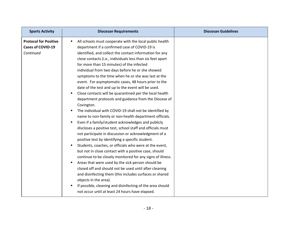| <b>Sports Activity</b>                                                | <b>Diocesan Requirements</b>                                                                                                                                                                                                                                                                                                                                                                                                                                                                                                                                                                                                                                                                                                                                                                                                                                                                                                                                                                                                                                                                                                                                                                                                                                                                                                                                                                                                                                                                                                        | <b>Diocesan Guidelines</b> |
|-----------------------------------------------------------------------|-------------------------------------------------------------------------------------------------------------------------------------------------------------------------------------------------------------------------------------------------------------------------------------------------------------------------------------------------------------------------------------------------------------------------------------------------------------------------------------------------------------------------------------------------------------------------------------------------------------------------------------------------------------------------------------------------------------------------------------------------------------------------------------------------------------------------------------------------------------------------------------------------------------------------------------------------------------------------------------------------------------------------------------------------------------------------------------------------------------------------------------------------------------------------------------------------------------------------------------------------------------------------------------------------------------------------------------------------------------------------------------------------------------------------------------------------------------------------------------------------------------------------------------|----------------------------|
| <b>Protocol for Positive</b><br><b>Cases of COVID-19</b><br>Continued | All schools must cooperate with the local public health<br>٠<br>department if a confirmed case of COVID-19 is<br>identified, and collect the contact information for any<br>close contacts (i.e., individuals less than six feet apart<br>for more than 15 minutes) of the infected<br>individual from two days before he or she showed<br>symptoms to the time when he or she was last at the<br>event. For asymptomatic cases, 48 hours prior to the<br>date of the test and up to the event will be used.<br>Close contacts will be quarantined per the local health<br>department protocols and guidance from the Diocese of<br>Covington.<br>The individual with COVID-19 shall not be identified by<br>٠<br>name to non-family or non-health department officials.<br>Even if a family/student acknowledges and publicly<br>$\blacksquare$<br>discloses a positive test, school staff and officials must<br>not participate in discussion or acknowledgment of a<br>positive test by identifying a specific student.<br>Students, coaches, or officials who were at the event,<br>but not in close contact with a positive case, should<br>continue to be closely monitored for any signs of illness.<br>Areas that were used by the sick person should be<br>٠<br>closed off and should not be used until after cleaning<br>and disinfecting them (this includes surfaces or shared<br>objects in the area).<br>If possible, cleaning and disinfecting of the area should<br>not occur until at least 24 hours have elapsed. |                            |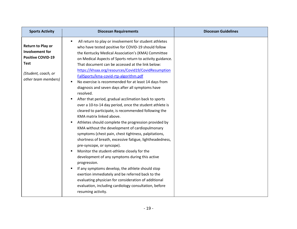<span id="page-18-0"></span>

| <b>Sports Activity</b>                                                                                                                      | <b>Diocesan Requirements</b>                                                                                                                                                                                                                                                                                                                                                                                                                                                                                                                                                                                                                                                                                                                                                                                                                                                                                                                                                                                                                                                                                                                                                                                                                                                                                                                                                  | <b>Diocesan Guidelines</b> |
|---------------------------------------------------------------------------------------------------------------------------------------------|-------------------------------------------------------------------------------------------------------------------------------------------------------------------------------------------------------------------------------------------------------------------------------------------------------------------------------------------------------------------------------------------------------------------------------------------------------------------------------------------------------------------------------------------------------------------------------------------------------------------------------------------------------------------------------------------------------------------------------------------------------------------------------------------------------------------------------------------------------------------------------------------------------------------------------------------------------------------------------------------------------------------------------------------------------------------------------------------------------------------------------------------------------------------------------------------------------------------------------------------------------------------------------------------------------------------------------------------------------------------------------|----------------------------|
| <b>Return to Play or</b><br><b>Involvement for</b><br><b>Positive COVID-19</b><br><b>Test</b><br>(Student, coach, or<br>other team members) | All return to play or involvement for student athletes<br>who have tested positive for COVID-19 should follow<br>the Kentucky Medical Association's (KMA) Committee<br>on Medical Aspects of Sports return to activity guidance.<br>That document can be accessed at the link below:<br>https://khsaa.org/resources/Covid19/CovidResumption<br>FallSports/kma-covid-rtp-algorithm.pdf<br>No exercise is recommended for at least 14 days from<br>diagnosis and seven days after all symptoms have<br>resolved.<br>After that period, gradual acclimation back to sports<br>$\blacksquare$<br>over a 10-to-14 day period, once the student athlete is<br>cleared to participate, is recommended following the<br>KMA matrix linked above.<br>Athletes should complete the progression provided by<br>٠<br>KMA without the development of cardiopulmonary<br>symptoms (chest pain, chest tightness, palpitations,<br>shortness of breath, excessive fatigue, lightheadedness,<br>pre-syncope, or syncope).<br>Monitor the student-athlete closely for the<br>٠<br>development of any symptoms during this active<br>progression.<br>If any symptoms develop, the athlete should stop<br>exertion immediately and be referred back to the<br>evaluating physician for consideration of additional<br>evaluation, including cardiology consultation, before<br>resuming activity. |                            |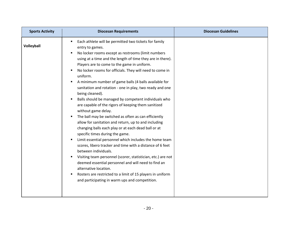<span id="page-19-0"></span>

| <b>Sports Activity</b> | <b>Diocesan Requirements</b>                                                                                                                                                                                                                                                                                                                                                                                                                                                                                                                                                                                                                                                                                                                                                                                                                                                                                                                                                                                                                                                                                                                                                                                                              | <b>Diocesan Guidelines</b> |
|------------------------|-------------------------------------------------------------------------------------------------------------------------------------------------------------------------------------------------------------------------------------------------------------------------------------------------------------------------------------------------------------------------------------------------------------------------------------------------------------------------------------------------------------------------------------------------------------------------------------------------------------------------------------------------------------------------------------------------------------------------------------------------------------------------------------------------------------------------------------------------------------------------------------------------------------------------------------------------------------------------------------------------------------------------------------------------------------------------------------------------------------------------------------------------------------------------------------------------------------------------------------------|----------------------------|
| Volleyball             | Each athlete will be permitted two tickets for family<br>entry to games.<br>No locker rooms except as restrooms (limit numbers<br>using at a time and the length of time they are in there).<br>Players are to come to the game in uniform.<br>No locker rooms for officials. They will need to come in<br>uniform.<br>A minimum number of game balls (4 balls available for<br>sanitation and rotation - one in play, two ready and one<br>being cleaned).<br>Balls should be managed by competent individuals who<br>٠<br>are capable of the rigors of keeping them sanitized<br>without game delay.<br>The ball may be switched as often as can efficiently<br>allow for sanitation and return, up to and including<br>changing balls each play or at each dead ball or at<br>specific times during the game.<br>Limit essential personnel which includes the home team<br>scores, libero tracker and time with a distance of 6 feet<br>between individuals.<br>Visiting team personnel (scorer, statistician, etc.) are not<br>٠<br>deemed essential personnel and will need to find an<br>alternative location.<br>Rosters are restricted to a limit of 15 players in uniform<br>٠<br>and participating in warm ups and competition. |                            |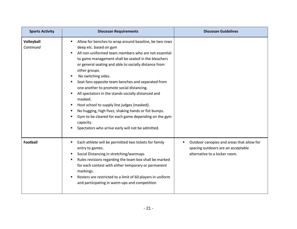<span id="page-20-0"></span>

| <b>Sports Activity</b>  | <b>Diocesan Requirements</b>                                                                                                                                                                                                                                                                                                                                                                                                                                                                                                                                                                                                                                                                                                             | <b>Diocesan Guidelines</b>                                                                                            |
|-------------------------|------------------------------------------------------------------------------------------------------------------------------------------------------------------------------------------------------------------------------------------------------------------------------------------------------------------------------------------------------------------------------------------------------------------------------------------------------------------------------------------------------------------------------------------------------------------------------------------------------------------------------------------------------------------------------------------------------------------------------------------|-----------------------------------------------------------------------------------------------------------------------|
| Volleyball<br>Continued | Allow for benches to wrap around baseline, be two rows<br>deep etc. based on gym<br>All non-uniformed team members who are not essential<br>$\blacksquare$<br>to game management shall be seated in the bleachers<br>or general seating and able to socially distance from<br>other groups.<br>No switching sides.<br>Seat fans opposite team benches and separated from<br>п.<br>one another to promote social distancing.<br>All spectators in the stands socially distanced and<br>٠<br>masked.<br>Host school to supply line judges (masked).<br>٠<br>No hugging, high fives, shaking hands or fist bumps.<br>Gym to be cleared for each game depending on the gym<br>capacity.<br>Spectators who arrive early will not be admitted. |                                                                                                                       |
| <b>Football</b>         | Each athlete will be permitted two tickets for family<br>٠<br>entry to games.<br>Social Distancing in stretching/warmups<br>٠<br>Rules revisions regarding the team box shall be marked<br>٠<br>for each contest with either temporary or permanent<br>markings.<br>Rosters are restricted to a limit of 60 players in uniform<br>and participating in warm-ups and competition                                                                                                                                                                                                                                                                                                                                                          | Outdoor canopies and areas that allow for<br>٠<br>spacing outdoors are an acceptable<br>alternative to a locker room. |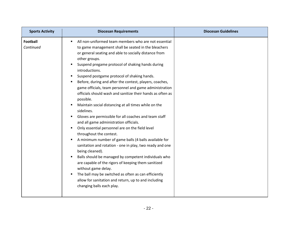| <b>Sports Activity</b>       | <b>Diocesan Requirements</b>                                                                                                                                                                                                                                                                                                                                                                                                                                                                                                                                                                                                                                                                                                                                                                                                                                                                                                                                                                                                                                                                                                                                                                      | <b>Diocesan Guidelines</b> |
|------------------------------|---------------------------------------------------------------------------------------------------------------------------------------------------------------------------------------------------------------------------------------------------------------------------------------------------------------------------------------------------------------------------------------------------------------------------------------------------------------------------------------------------------------------------------------------------------------------------------------------------------------------------------------------------------------------------------------------------------------------------------------------------------------------------------------------------------------------------------------------------------------------------------------------------------------------------------------------------------------------------------------------------------------------------------------------------------------------------------------------------------------------------------------------------------------------------------------------------|----------------------------|
| <b>Football</b><br>Continued | All non-uniformed team members who are not essential<br>to game management shall be seated in the bleachers<br>or general seating and able to socially distance from<br>other groups.<br>Suspend pregame protocol of shaking hands during<br>introductions.<br>Suspend postgame protocol of shaking hands.<br>Before, during and after the contest, players, coaches,<br>game officials, team personnel and game administration<br>officials should wash and sanitize their hands as often as<br>possible.<br>Maintain social distancing at all times while on the<br>sidelines.<br>Gloves are permissible for all coaches and team staff<br>and all game administration officials.<br>Only essential personnel are on the field level<br>throughout the contest.<br>A minimum number of game balls (4 balls available for<br>sanitation and rotation - one in play, two ready and one<br>being cleaned).<br>Balls should be managed by competent individuals who<br>٠<br>are capable of the rigors of keeping them sanitized<br>without game delay.<br>The ball may be switched as often as can efficiently<br>allow for sanitation and return, up to and including<br>changing balls each play. |                            |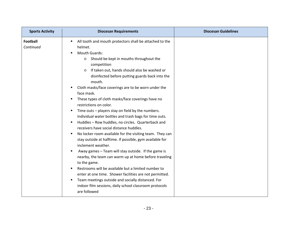| <b>Sports Activity</b>       | <b>Diocesan Requirements</b>                                                                                                                                                                                                                                                                                                                                                                                                                                                                                                                                                                                                                                                                                                                                                                                                                                                                                                                                                                                                                                                                                                                                                                                              | <b>Diocesan Guidelines</b> |
|------------------------------|---------------------------------------------------------------------------------------------------------------------------------------------------------------------------------------------------------------------------------------------------------------------------------------------------------------------------------------------------------------------------------------------------------------------------------------------------------------------------------------------------------------------------------------------------------------------------------------------------------------------------------------------------------------------------------------------------------------------------------------------------------------------------------------------------------------------------------------------------------------------------------------------------------------------------------------------------------------------------------------------------------------------------------------------------------------------------------------------------------------------------------------------------------------------------------------------------------------------------|----------------------------|
| <b>Football</b><br>Continued | All tooth and mouth protectors shall be attached to the<br>٠<br>helmet.<br><b>Mouth Guards:</b><br>Should be kept in mouths throughout the<br>$\circ$<br>competition<br>If taken out, hands should also be washed or<br>$\circ$<br>disinfected before putting guards back into the<br>mouth.<br>Cloth masks/face coverings are to be worn under the<br>face mask.<br>These types of cloth masks/face coverings have no<br>٠<br>restrictions on color.<br>Time outs - players stay on field by the numbers.<br>п.<br>Individual water bottles and trash bags for time outs.<br>Huddles - Row huddles, no circles. Quarterback and<br>٠<br>receivers have social distance huddles.<br>No locker room available for the visiting team. They can<br>٠<br>stay outside at halftime. If possible, gym available for<br>inclement weather.<br>Away games - Team will stay outside. If the game is<br>nearby, the team can warm up at home before traveling<br>to the game.<br>Restrooms will be available but a limited number to<br>enter at one time. Shower facilities are not permitted.<br>Team meetings outside and socially distanced. For<br>٠<br>indoor film sessions, daily school classroom protocols<br>are followed |                            |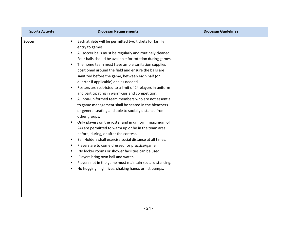<span id="page-23-0"></span>

| <b>Sports Activity</b> | <b>Diocesan Requirements</b>                                                                                                                                                                                                                                                                                                                                                                                                                                                                                                                                                                                                                                                                                                                                                                                                                                                                                                                                                                                                                                                                                                                                                                                                       | <b>Diocesan Guidelines</b> |
|------------------------|------------------------------------------------------------------------------------------------------------------------------------------------------------------------------------------------------------------------------------------------------------------------------------------------------------------------------------------------------------------------------------------------------------------------------------------------------------------------------------------------------------------------------------------------------------------------------------------------------------------------------------------------------------------------------------------------------------------------------------------------------------------------------------------------------------------------------------------------------------------------------------------------------------------------------------------------------------------------------------------------------------------------------------------------------------------------------------------------------------------------------------------------------------------------------------------------------------------------------------|----------------------------|
| <b>Soccer</b>          | Each athlete will be permitted two tickets for family<br>entry to games.<br>All soccer balls must be regularly and routinely cleaned.<br>Four balls should be available for rotation during games.<br>The home team must have ample sanitation supplies<br>positioned around the field and ensure the balls are<br>sanitized before the game, between each half (or<br>quarter if applicable) and as needed<br>Rosters are restricted to a limit of 24 players in uniform<br>٠<br>and participating in warm-ups and competition.<br>All non-uniformed team members who are not essential<br>to game management shall be seated in the bleachers<br>or general seating and able to socially distance from<br>other groups.<br>Only players on the roster and in uniform (maximum of<br>24) are permitted to warm up or be in the team area<br>before, during, or after the contest.<br>Ball Holders shall exercise social distance at all times.<br>٠<br>Players are to come dressed for practice/game<br>٠<br>No locker rooms or shower facilities can be used.<br>٠<br>Players bring own ball and water.<br>٠<br>Players not in the game must maintain social distancing.<br>No hugging, high fives, shaking hands or fist bumps. |                            |
|                        |                                                                                                                                                                                                                                                                                                                                                                                                                                                                                                                                                                                                                                                                                                                                                                                                                                                                                                                                                                                                                                                                                                                                                                                                                                    |                            |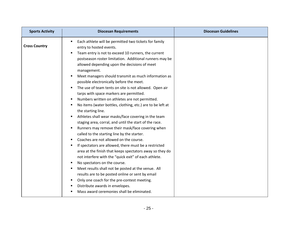<span id="page-24-0"></span>

| <b>Sports Activity</b> | <b>Diocesan Requirements</b>                                                                                                                                                                                                                                                                                                                                                                                                                                                                                                                                                                                                                                                                                                                                                                                                                                                                                                                                                                                                                                                                                                                                                                                                                                                                                                                                                       | <b>Diocesan Guidelines</b> |
|------------------------|------------------------------------------------------------------------------------------------------------------------------------------------------------------------------------------------------------------------------------------------------------------------------------------------------------------------------------------------------------------------------------------------------------------------------------------------------------------------------------------------------------------------------------------------------------------------------------------------------------------------------------------------------------------------------------------------------------------------------------------------------------------------------------------------------------------------------------------------------------------------------------------------------------------------------------------------------------------------------------------------------------------------------------------------------------------------------------------------------------------------------------------------------------------------------------------------------------------------------------------------------------------------------------------------------------------------------------------------------------------------------------|----------------------------|
| <b>Cross Country</b>   | Each athlete will be permitted two tickets for family<br>entry to hosted events.<br>Team entry is not to exceed 10 runners, the current<br>postseason roster limitation. Additional runners may be<br>allowed depending upon the decisions of meet<br>management.<br>Meet managers should transmit as much information as<br>п<br>possible electronically before the meet.<br>The use of team tents on site is not allowed. Open air<br>٠<br>tarps with space markers are permitted.<br>Numbers written on athletes are not permitted.<br>٠<br>No items (water bottles, clothing, etc.) are to be left at<br>٠<br>the starting line.<br>Athletes shall wear masks/face covering in the team<br>staging area, corral, and until the start of the race.<br>Runners may remove their mask/face covering when<br>called to the starting line by the starter.<br>Coaches are not allowed on the course.<br>٠<br>If spectators are allowed, there must be a restricted<br>٠<br>area at the finish that keeps spectators away so they do<br>not interfere with the "quick exit" of each athlete.<br>No spectators on the course.<br>٠<br>Meet results shall not be posted at the venue. All<br>٠<br>results are to be posted online or sent by email<br>Only one coach for the pre-contest meeting.<br>٠<br>Distribute awards in envelopes.<br>Mass award ceremonies shall be eliminated. |                            |
|                        |                                                                                                                                                                                                                                                                                                                                                                                                                                                                                                                                                                                                                                                                                                                                                                                                                                                                                                                                                                                                                                                                                                                                                                                                                                                                                                                                                                                    |                            |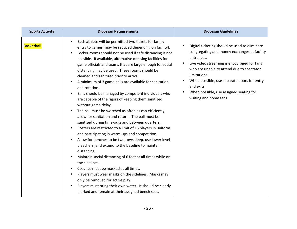<span id="page-25-0"></span>

| <b>Sports Activity</b> | <b>Diocesan Requirements</b>                                                                                                                                                                                                                                                                                                                                                                                                                                                                                                                                                                                                                                                                                                                                                                                                                                                                                                                                                                                                                                                                                                                                                                                                                                                                                                                                                      | <b>Diocesan Guidelines</b>                                                                                                                                                                                                                                                                                                                                 |
|------------------------|-----------------------------------------------------------------------------------------------------------------------------------------------------------------------------------------------------------------------------------------------------------------------------------------------------------------------------------------------------------------------------------------------------------------------------------------------------------------------------------------------------------------------------------------------------------------------------------------------------------------------------------------------------------------------------------------------------------------------------------------------------------------------------------------------------------------------------------------------------------------------------------------------------------------------------------------------------------------------------------------------------------------------------------------------------------------------------------------------------------------------------------------------------------------------------------------------------------------------------------------------------------------------------------------------------------------------------------------------------------------------------------|------------------------------------------------------------------------------------------------------------------------------------------------------------------------------------------------------------------------------------------------------------------------------------------------------------------------------------------------------------|
| <b>Basketball</b>      | Each athlete will be permitted two tickets for family<br>٠<br>entry to games (may be reduced depending on facility).<br>Locker rooms should not be used if safe distancing is not<br>٠<br>possible. If available, alternative dressing facilities for<br>game officials and teams that are large enough for social<br>distancing may be used. These rooms should be<br>cleaned and sanitized prior to arrival.<br>A minimum of 3 game balls are available for sanitation<br>and rotation.<br>Balls should be managed by competent individuals who<br>are capable of the rigors of keeping them sanitized<br>without game delay.<br>The ball must be switched as often as can efficiently<br>allow for sanitation and return. The ball must be<br>sanitized during time-outs and between quarters.<br>Rosters are restricted to a limit of 15 players in uniform<br>and participating in warm-ups and competition.<br>Allow for benches to be two rows deep, use lower level<br>bleachers, and extend to the baseline to maintain<br>distancing.<br>Maintain social distancing of 6 feet at all times while on<br>the sidelines.<br>Coaches must be masked at all times.<br>Players must wear masks on the sidelines. Masks may<br>only be removed for active play.<br>Players must bring their own water. It should be clearly<br>marked and remain at their assigned bench seat. | Digital ticketing should be used to eliminate<br>congregating and money exchanges at facility<br>entrances.<br>Live video streaming is encouraged for fans<br>who are unable to attend due to spectator<br>limitations.<br>When possible, use separate doors for entry<br>and exits.<br>When possible, use assigned seating for<br>visiting and home fans. |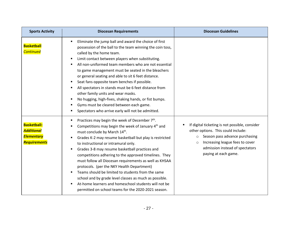| <b>Sports Activity</b>                                                              | <b>Diocesan Requirements</b>                                                                                                                                                                                                                                                                                                                                                                                                                                                                                                                                                                                                                                                                                     | <b>Diocesan Guidelines</b>                                                                                                                                                                                                                 |
|-------------------------------------------------------------------------------------|------------------------------------------------------------------------------------------------------------------------------------------------------------------------------------------------------------------------------------------------------------------------------------------------------------------------------------------------------------------------------------------------------------------------------------------------------------------------------------------------------------------------------------------------------------------------------------------------------------------------------------------------------------------------------------------------------------------|--------------------------------------------------------------------------------------------------------------------------------------------------------------------------------------------------------------------------------------------|
| <b>Basketball</b><br><b>Continued</b>                                               | Eliminate the jump ball and award the choice of first<br>possession of the ball to the team winning the coin toss,<br>called by the home team.<br>Limit contact between players when substituting.<br>All non-uniformed team members who are not essential<br>٠<br>to game management must be seated in the bleachers<br>or general seating and able to sit 6 feet distance.<br>Seat fans opposite team benches if possible.<br>All spectators in stands must be 6 feet distance from<br>other family units and wear masks.<br>No hugging, high-fives, shaking hands, or fist bumps.<br>п<br>Gyms must be cleared between each game.<br>٠<br>Spectators who arrive early will not be admitted.                   |                                                                                                                                                                                                                                            |
| <b>Basketball:</b><br><b>Additional</b><br><b>Elementary</b><br><b>Requirements</b> | Practices may begin the week of December 7 <sup>th</sup> .<br>Competitions may begin the week of January 4 <sup>th</sup> and<br>must conclude by March 14th.<br>Grades K-2 may resume basketball but play is restricted<br>to instructional or intramural only.<br>Grades 3-8 may resume basketball practices and<br>competitions adhering to the approved timelines. They<br>must follow all Diocesan requirements as well as KHSAA<br>protocols. (per the NKY Health Department)<br>Teams should be limited to students from the same<br>school and by grade level classes as much as possible.<br>At-home learners and homeschool students will not be<br>permitted on school teams for the 2020-2021 season. | If digital ticketing is not possible, consider<br>other options. This could include:<br>Season pass advance purchasing<br>$\circ$<br>Increasing league fees to cover<br>$\circ$<br>admission instead of spectators<br>paying at each game. |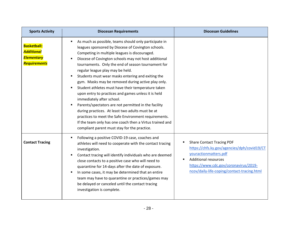<span id="page-27-0"></span>

| <b>Sports Activity</b>                                                       | <b>Diocesan Requirements</b>                                                                                                                                                                                                                                                                                                                                                                                                                                                                                                                                                                                                                                                                                                                                                                                                                                          | <b>Diocesan Guidelines</b>                                                                                                                                                                                                      |
|------------------------------------------------------------------------------|-----------------------------------------------------------------------------------------------------------------------------------------------------------------------------------------------------------------------------------------------------------------------------------------------------------------------------------------------------------------------------------------------------------------------------------------------------------------------------------------------------------------------------------------------------------------------------------------------------------------------------------------------------------------------------------------------------------------------------------------------------------------------------------------------------------------------------------------------------------------------|---------------------------------------------------------------------------------------------------------------------------------------------------------------------------------------------------------------------------------|
| <b>Basketball:</b><br><b>Additional</b><br><b>Elementary</b><br>Requirements | As much as possible, teams should only participate in<br>leagues sponsored by Diocese of Covington schools.<br>Competing in multiple leagues is discouraged.<br>Diocese of Covington schools may not host additional<br>tournaments. Only the end of season tournament for<br>regular league play may be held.<br>Students must wear masks entering and exiting the<br>gym. Masks may be removed during active play only.<br>Student athletes must have their temperature taken<br>upon entry to practices and games unless it is held<br>immediately after school.<br>Parents/spectators are not permitted in the facility<br>$\blacksquare$<br>during practices. At least two adults must be at<br>practices to meet the Safe Environment requirements.<br>If the team only has one coach then a Virtus trained and<br>compliant parent must stay for the practice. |                                                                                                                                                                                                                                 |
| <b>Contact Tracing</b>                                                       | Following a positive COVID-19 case, coaches and<br>٠<br>athletes will need to cooperate with the contact tracing<br>investigation.<br>Contact tracing will identify individuals who are deemed<br>close contacts to a positive case who will need to<br>quarantine for 14-days after the date of exposure.<br>In some cases, it may be determined that an entire<br>٠<br>team may have to quarantine or practices/games may<br>be delayed or canceled until the contact tracing<br>investigation is complete.                                                                                                                                                                                                                                                                                                                                                         | <b>Share Contact Tracing PDF</b><br>https://chfs.ky.gov/agencies/dph/covid19/CT<br>youractionmatters.pdf<br><b>Additional resources</b><br>https://www.cdc.gov/coronavirus/2019-<br>ncov/daily-life-coping/contact-tracing.html |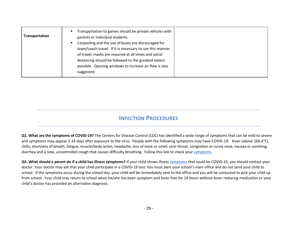<span id="page-28-0"></span>

### **INFECTION PROCEDURES**

<span id="page-28-1"></span>**Q1. What are the symptoms of COVID-19?** The Centers for Disease Control (CDC) has identified a wide-range of symptoms that can be mild to severe and symptoms may appear 2-14 days after exposure to the virus. People with the following symptoms may have COVID-19: fever (above 100.4°F), chills, shortness of breath, fatigue, muscle/body aches, headache, loss of taste or smell, sore throat, congestion or runny nose, nausea or vomiting, diarrhea and a new, uncontrolled cough that causes difficulty breathing. Follow this link to check you[r symptoms.](https://www.cdc.gov/coronavirus/2019-ncov/symptoms-testing/symptoms.html)

**Q2. What should a parent do if a child has illness symptoms?** If your child shows illness [symptoms](https://www.cdc.gov/coronavirus/2019-ncov/symptoms-testing/symptoms.html) that could be COVID-19, you should contact your doctor. Your doctor may ask that your child participate in a COVID-19 test. You must alert your school's main office and do not send your child to school. If the symptoms occur during the school day, your child will be immediately sent to the office and you will be contacted to pick your child up from school. Your child may return to school when he/she has been symptom and fever free for 24 hours without fever-reducing medication or your child's doctor has provided an alternative diagnosis.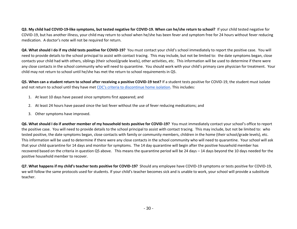**Q3. My child had COVID-19-like symptoms, but tested negative for COVID-19. When can he/she return to school?** If your child tested negative for COVID-19, but has another illness, your child may return to school when he/she has been fever and symptom free for 24 hours without fever reducing medication. A doctor's note will not be required for return.

**Q4. What should I do if my child tests positive for COVID-19?** You must contact your child's school immediately to report the positive case. You will need to provide details to the school principal to assist with contact tracing. This may include, but not be limited to: the date symptoms began, close contacts your child had with others, siblings (their school/grade levels), other activities, etc. This information will be used to determine if there were any close contacts in the school community who will need to quarantine. You should work with your child's primary care physician for treatment. Your child may not return to school until he/she has met the return to school requirements in Q5.

**Q5. When can a student return to school after receiving a positive COVID-19 test?** If a student tests positive for COVID-19, the student must isolate and not return to school until they have met CDC's [criteria to discontinue home isolation.](https://www.cdc.gov/coronavirus/2019-ncov/hcp/disposition-in-home-patients.html) This includes:

- 1. At least 10 days have passed since symptoms first appeared; and
- 2. At least 24 hours have passed since the last fever without the use of fever reducing medications; and
- 3. Other symptoms have improved.

**Q6. What should I do if another member of my household tests positive for COVID-19?** You must immediately contact your school's office to report the positive case. You will need to provide details to the school principal to assist with contact tracing. This may include, but not be limited to: who tested positive, the date symptoms began, close contacts with family or community members, children in the home (their school/grade levels), etc. This information will be used to determine if there were any close contacts in the school community who will need to quarantine. Your school will ask that your child quarantine for 14 days and monitor for symptoms. The 14 day quarantine will begin after the positive household member has recovered based on the criteria in question Q5 above. This means the quarantine period will be 24 days – 14 days beyond the 10 days needed for the positive household member to recover.

**Q7. What happens if my child's teacher tests positive for COVID-19?** Should any employee have COVID-19 symptoms or tests positive for COVID-19, we will follow the same protocols used for students. If your child's teacher becomes sick and is unable to work, your school will provide a substitute teacher.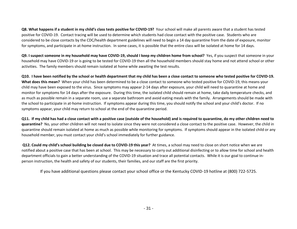**Q8. What happens if a student in my child's class tests positive for COVID-19?** Your school will make all parents aware that a student has tested positive for COVID-19. Contact tracing will be used to determine which students had close contact with the positive case. Students who are considered to be close contacts by the CDC/health department guidelines will need to begin a 14 day quarantine from the date of exposure, monitor for symptoms, and participate in at-home instruction. In some cases, it is possible that the entire class will be isolated at home for 14 days.

**Q9. I suspect someone in my household may have COVID-19, should I keep my children home from school?** Yes, if you suspect that someone in your household may have COVID-19 or is going to be tested for COVID-19 then all the household members should stay home and not attend school or other activities. The family members should remain isolated at home while awaiting the test results.

**Q10. I have been notified by the school or health department that my child has been a close contact to someone who tested positive for COVID-19. What does this mean?** When your child has been determined to be a close contact to someone who tested positive for COVID-19, this means your child may have been exposed to the virus. Since symptoms may appear 2-14 days after exposure, your child will need to quarantine at home and monitor for symptoms for 14 days after the exposure. During this time, the isolated child should remain at home, take daily temperature checks, and as much as possible remain in a separate room, use a separate bathroom and avoid eating meals with the family. Arrangements should be made with the school to participate in at-home instruction. If symptoms appear during this time, you should notify the school and your child's doctor. If no symptoms appear, your child may return to school at the end of the quarantine period.

**Q11. If my child has had a close contact with a positive case (outside of the household) and is required to quarantine, do my other children need to quarantine?** No, your other children will not need to isolate since they were not considered a close contact to the positive case. However, the child in quarantine should remain isolated at home as much as possible while monitoring for symptoms. If symptoms should appear in the isolated child or any household member, you must contact your child's school immediately for further guidance.

**Q12. Could my child's school building be closed due to COVID-19 this year?** At times, a school may need to close on short notice when we are notified about a positive case that has been at school. This may be necessary to carry out additional disinfecting or to allow time for school and health department officials to gain a better understanding of the COVID-19 situation and trace all potential contacts. While it is our goal to continue inperson instruction, the health and safety of our students, their families, and our staff are the first priority.

If you have additional questions please contact your school office or the Kentucky COVID-19 hotline at (800) 722-5725.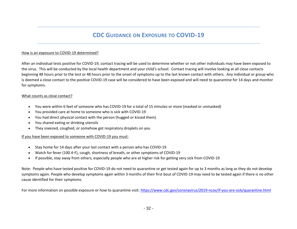## **CDC GUIDANCE ON EXPOSURE TO COVID-19**

#### <span id="page-31-0"></span>How is an exposure to COVID-19 determined?

After an individual tests positive for COVID-19, contact tracing will be used to determine whether or not other individuals may have been exposed to the virus. This will be conducted by the local health department and your child's school. Contact tracing will involve looking at all close contacts beginning 48 hours prior to the test or 48 hours prior to the onset of symptoms up to the last known contact with others. Any individual or group who is deemed a close contact to the positive COVID-19 case will be considered to have been exposed and will need to quarantine for 14 days and monitor for symptoms.

#### What counts as close contact?

- You were within 6 feet of someone who has COVID-19 for a total of 15 minutes or more (masked or unmasked)
- You provided care at home to someone who is sick with COVID-19
- You had direct physical contact with the person (hugged or kissed them)
- You shared eating or drinking utensils
- They sneezed, coughed, or somehow got respiratory droplets on you

#### If you have been exposed to someone with COVID-19 you must:

- Stay home for 14 days after your last contact with a person who has COVID-19
- Watch for fever (100.4◦F), cough, shortness of breath, or other symptoms of COVID-19
- If possible, stay away from others, especially people who are at higher risk for getting very sick from COVID-19

Note: People who have tested positive for COVID-19 do not need to quarantine or get tested again for up to 3 months as long as they do not develop symptoms again. People who develop symptoms again within 3 months of their first bout of COVID-19 may need to be tested again if there is no other cause identified for their symptoms.

For more information on possible exposure or how to quarantine visit[: https://www.cdc.gov/coronavirus/2019-ncov/if-you-are-sick/quarantine.html](https://www.cdc.gov/coronavirus/2019-ncov/if-you-are-sick/quarantine.html)